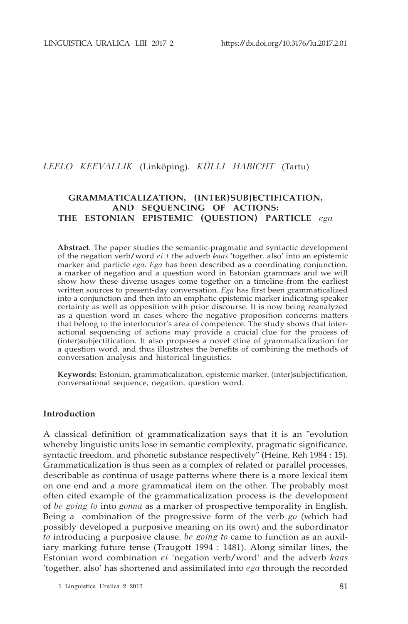# *LEELO KEEVALLIK* (Linköping), *KÜLLI HABICHT* (Tartu)

# **GRAMMATICALIZATION, (INTER)SUBJECTIFICATION, AND SEQUENCING OF ACTIONS: THE ESTONIAN EPISTEMIC (QUESTION) PARTICLE** *ega*

**Abstract**. The paper studies the semantic-pragmatic and syntactic development of the negation verb/word *ei* + the adverb *kaas* 'together, also' into an epistemic marker and particle *ega*. *Ega* has been described as a coordinating conjunction, a marker of negation and a question word in Estonian grammars and we will show how these diverse usages come together on a timeline from the earliest written sources to present-day conversation. *Ega* has first been grammaticalized into a conjunction and then into an emphatic epistemic marker indicating speaker certainty as well as opposition with prior discourse. It is now being reanalyzed as a question word in cases where the negative proposition concerns matters that belong to the interlocutor's area of competence. The study shows that interactional sequencing of actions may provide a crucial clue for the process of (inter)subjectification. It also proposes a novel cline of grammaticalization for a question word, and thus illustrates the benefits of combining the methods of conversation analysis and historical linguistics.

**Keywords:** Estonian, grammaticalization, epistemic marker, (inter)subjectification, conversational sequence, negation, question word.

#### **Introduction**

A classical definition of grammaticalization says that it is an "evolution whereby linguistic units lose in semantic complexity, pragmatic significance, syntactic freedom, and phonetic substance respectively" (Heine, Reh 1984 : 15). Grammaticalization is thus seen as a complex of related or parallel processes, describable as continua of usage patterns where there is a more lexical item on one end and a more grammatical item on the other. The probably most often cited example of the grammaticalization process is the development of *be going to* into *gonna* as a marker of prospective temporality in English. Being a combination of the progressive form of the verb *go* (which had possibly developed a purposive meaning on its own) and the subordinator *to* introducing a purposive clause, *be going to* came to function as an auxiliary marking future tense (Traugott 1994 : 1481). Along similar lines, the Estonian word combination *ei* 'negation verb/word' and the adverb *kaas* 'together, also' has shortened and assimilated into *ega* through the recorded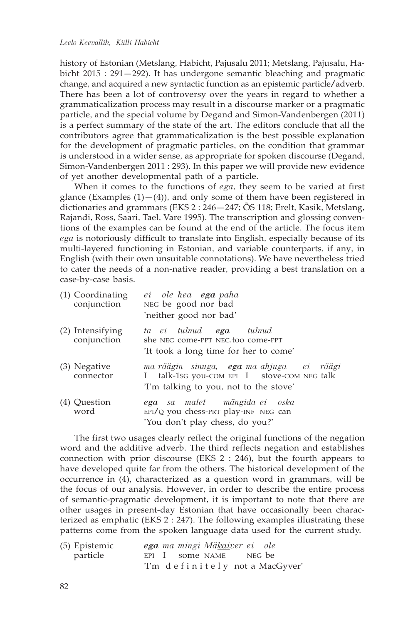history of Estonian (Metslang, Habicht, Pajusalu 2011; Metslang, Pajusalu, Habicht 2015 : 291—292). It has undergone semantic bleaching and pragmatic change, and acquired a new syntactic function as an epistemic particle/adverb. There has been a lot of controversy over the years in regard to whether a grammaticalization process may result in a discourse marker or a pragmatic particle, and the special volume by Degand and Simon-Vandenbergen (2011) is a perfect summary of the state of the art. The editors conclude that all the contributors agree that grammaticalization is the best possible explanation for the development of pragmatic particles, on the condition that grammar is understood in a wider sense, as appropriate for spoken discourse (Degand, Simon-Vandenbergen 2011 : 293). In this paper we will provide new evidence of yet another developmental path of a particle.

When it comes to the functions of *ega*, they seem to be varied at first glance (Examples  $(1)$  –  $(4)$ ), and only some of them have been registered in dictionaries and grammars (EKS 2 : 246—247; ÕS 118; Erelt, Kasik, Metslang, Rajandi, Ross, Saari, Tael, Vare 1995). The transcription and glossing conventions of the examples can be found at the end of the article. The focus item *ega* is notoriously difficult to translate into English, especially because of its multi-layered functioning in Estonian, and variable counterparts, if any, in English (with their own unsuitable connotations). We have nevertheless tried to cater the needs of a non-native reader, providing a best translation on a case-by-case basis.

| (1) Coordinating<br>conjunction | ei ole hea ega paha<br>NEG be good nor bad<br>'neither good nor bad'                                                                 |
|---------------------------------|--------------------------------------------------------------------------------------------------------------------------------------|
| (2) Intensifying<br>conjunction | ta ei tulnud <b>ega</b> tulnud<br>she NEG come-PPT NEG.too come-PPT<br>'It took a long time for her to come'                         |
| (3) Negative<br>connector       | ma räägin sinuga, ega ma ahjuga ei räägi<br>talk-1sG you-COM EPI I stove-COM NEG talk<br>L<br>'I'm talking to you, not to the stove' |
| (4) Question<br>word            | <b>ega</b> sa malet mängida ei oska<br>EPI/Q you chess-PRT play-INF NEG can<br>'You don't play chess, do you?'                       |

The first two usages clearly reflect the original functions of the negation word and the additive adverb. The third reflects negation and establishes connection with prior discourse (EKS 2 : 246), but the fourth appears to have developed quite far from the others. The historical development of the occurrence in (4), characterized as a question word in grammars, will be the focus of our analysis. However, in order to describe the entire process of semantic-pragmatic development, it is important to note that there are other usages in present-day Estonian that have occasionally been characterized as emphatic (EKS 2 : 247). The following examples illustrating these patterns come from the spoken language data used for the current study.

| (5) Epistemic | ega ma mingi Mäkaiver ei ole    |  |
|---------------|---------------------------------|--|
| particle      | EPI I some NAME NEG be          |  |
|               | 'I'm definitely not a MacGyver' |  |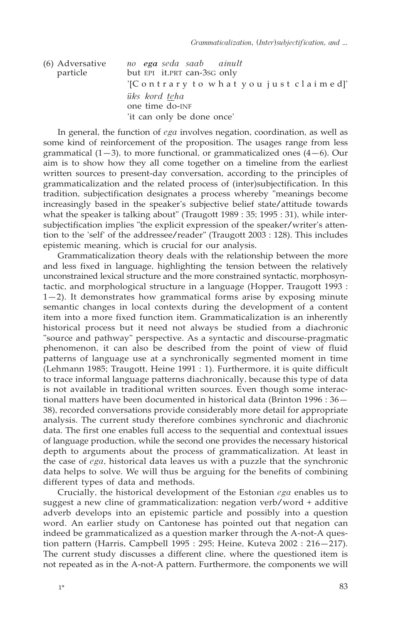| (6) Adversative<br>particle | no <b>ega</b> seda saab ainult<br>but EPI it.PRT can-3sG only |
|-----------------------------|---------------------------------------------------------------|
|                             | '[Contrary to what you just claimed]'                         |
|                             | <i>üks kord teha</i>                                          |
|                             | one time do-INF                                               |
|                             | 'it can only be done once'                                    |

In general, the function of *ega* involves negation, coordination, as well as some kind of reinforcement of the proposition. The usages range from less grammatical  $(1-3)$ , to more functional, or grammaticalized ones  $(4-6)$ . Our aim is to show how they all come together on a timeline from the earliest written sources to present-day conversation, according to the principles of grammaticalization and the related process of (inter)subjectification. In this tradition, subjectification designates a process whereby "meanings become increasingly based in the speaker's subjective belief state/attitude towards what the speaker is talking about" (Traugott 1989 : 35; 1995 : 31), while intersubjectification implies "the explicit expression of the speaker/writer's attention to the 'self' of the addressee/reader" (Traugott 2003 : 128). This includes epistemic meaning, which is crucial for our analysis.

Grammaticalization theory deals with the relationship between the more and less fixed in language, highlighting the tension between the relatively unconstrained lexical structure and the more constrained syntactic, morphosyntactic, and morphological structure in a language (Hopper, Traugott 1993 : 1—2). It demonstrates how grammatical forms arise by exposing minute semantic changes in local contexts during the development of a content item into a more fixed function item. Grammaticalization is an inherently historical process but it need not always be studied from a diachronic "source and pathway" perspective. As a syntactic and discourse-pragmatic phenomenon, it can also be described from the point of view of fluid patterns of language use at a synchronically segmented moment in time (Lehmann 1985; Traugott, Heine 1991 : 1). Furthermore, it is quite difficult to trace informal language patterns diachronically, because this type of data is not available in traditional written sources. Even though some interactional matters have been documented in historical data (Brinton 1996 : 36— 38), recorded conversations provide considerably more detail for appropriate analysis. The current study therefore combines synchronic and diachronic data. The first one enables full access to the sequential and contextual issues of language production, while the second one provides the necessary historical depth to arguments about the process of grammaticalization. At least in the case of *ega*, historical data leaves us with a puzzle that the synchronic data helps to solve. We will thus be arguing for the benefits of combining different types of data and methods.

Crucially, the historical development of the Estonian *ega* enables us to suggest a new cline of grammaticalization: negation verb/word + additive adverb develops into an epistemic particle and possibly into a question word. An earlier study on Cantonese has pointed out that negation can indeed be grammaticalized as a question marker through the A-not-A question pattern (Harris, Campbell 1995 : 295; Heine, Kuteva 2002 : 216—217). The current study discusses a different cline, where the questioned item is not repeated as in the A-not-A pattern. Furthermore, the components we will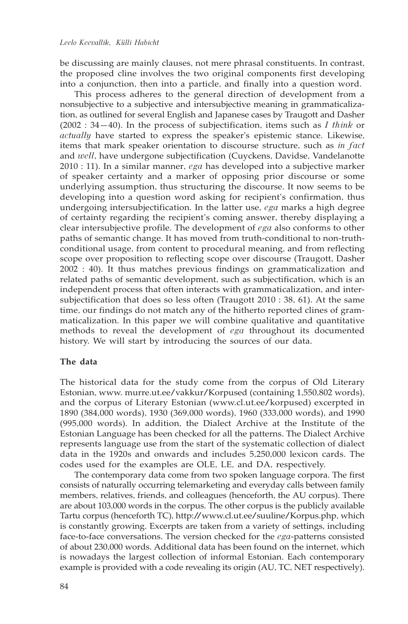be discussing are mainly clauses, not mere phrasal constituents. In contrast, the proposed cline involves the two original components first developing into a conjunction, then into a particle, and finally into a question word.

This process adheres to the general direction of development from a nonsubjective to a subjective and intersubjective meaning in grammaticalization, as outlined for several English and Japanese cases by Traugott and Dasher (2002 : 34—40). In the process of subjectification, items such as *I think* or *actually* have started to express the speaker's epistemic stance. Likewise, items that mark speaker orientation to discourse structure, such as *in fact* and *well*, have undergone subjectification (Cuyckens, Davidse, Vandelanotte 2010 : 11). In a similar manner, *ega* has developed into a subjective marker of speaker certainty and a marker of opposing prior discourse or some underlying assumption, thus structuring the discourse. It now seems to be developing into a question word asking for recipient's confirmation, thus undergoing intersubjectification. In the latter use, *ega* marks a high degree of certainty regarding the recipient's coming answer, thereby displaying a clear intersubjective profile. The development of *ega* also conforms to other paths of semantic change. It has moved from truth-conditional to non-truthconditional usage, from content to procedural meaning, and from reflecting scope over proposition to reflecting scope over discourse (Traugott, Dasher 2002 : 40). It thus matches previous findings on grammaticalization and related paths of semantic development, such as subjectification, which is an independent process that often interacts with grammaticalization, and intersubjectification that does so less often (Traugott 2010 : 38, 61). At the same time, our findings do not match any of the hitherto reported clines of grammaticalization. In this paper we will combine qualitative and quantitative methods to reveal the development of *ega* throughout its documented history. We will start by introducing the sources of our data.

## **The data**

The historical data for the study come from the corpus of Old Literary Estonian, www. murre.ut.ee/vakkur/Korpused (containing 1,550,802 words), and the corpus of Literary Estonian (www.cl.ut.ee/korpused) excerpted in 1890 (384,000 words), 1930 (369,000 words), 1960 (333,000 words), and 1990 (995,000 words). In addition, the Dialect Archive at the Institute of the Estonian Language has been checked for all the patterns. The Dialect Archive represents language use from the start of the systematic collection of dialect data in the 1920s and onwards and includes 5,250,000 lexicon cards. The codes used for the examples are OLE, LE, and DA, respectively.

The contemporary data come from two spoken language corpora. The first consists of naturally occurring telemarketing and everyday calls between family members, relatives, friends, and colleagues (henceforth, the AU corpus). There are about 103,000 words in the corpus. The other corpus is the publicly available Tartu corpus (henceforth TC), http://www.cl.ut.ee/suuline/Korpus.php, which is constantly growing. Excerpts are taken from a variety of settings, including face-to-face conversations. The version checked for the *ega*-patterns consisted of about 230,000 words. Additional data has been found on the internet, which is nowadays the largest collection of informal Estonian. Each contemporary example is provided with a code revealing its origin (AU, TC, NET respectively).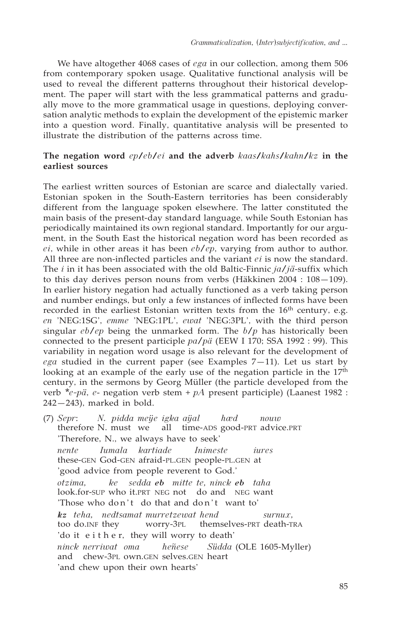We have altogether 4068 cases of *ega* in our collection, among them 506 from contemporary spoken usage. Qualitative functional analysis will be used to reveal the different patterns throughout their historical development. The paper will start with the less grammatical patterns and gradually move to the more grammatical usage in questions, deploying conversation analytic methods to explain the development of the epistemic marker into a question word. Finally, quantitative analysis will be presented to illustrate the distribution of the patterns across time.

# **The negation word** *ep/eb/ei* **and the adverb** *kaas/kahs/kahn/kz* **in the earliest sources**

The earliest written sources of Estonian are scarce and dialectally varied. Estonian spoken in the South-Eastern territories has been considerably different from the language spoken elsewhere. The latter constituted the main basis of the present-day standard language, while South Estonian has periodically maintained its own regional standard. Importantly for our argument, in the South East the historical negation word has been recorded as *ei*, while in other areas it has been *eb/ep*, varying from author to author. All three are non-inflected particles and the variant *ei* is now the standard. The *i* in it has been associated with the old Baltic-Finnic *ja/jä*-suffix which to this day derives person nouns from verbs (Häkkinen 2004 : 108—109). In earlier history negation had actually functioned as a verb taking person and number endings, but only a few instances of inflected forms have been recorded in the earliest Estonian written texts from the  $16<sup>th</sup>$  century, e.g. *en* 'NEG:1SG', *emme* 'NEG:1PL', *ewat* 'NEG:3PL', with the third person singular *eb/ep* being the unmarked form. The *b/p* has historically been connected to the present participle *pa/pä* (EEW I 170; SSA 1992 : 99). This variability in negation word usage is also relevant for the development of *ega* studied in the current paper (see Examples  $7-11$ ). Let us start by looking at an example of the early use of the negation particle in the  $17<sup>th</sup>$ century, in the sermons by Georg Müller (the particle developed from the verb *\*e-pä*, *e*- negation verb stem + *pA* present participle) (Laanest 1982 : 242—243), marked in bold.

(7) *Sepr*: *N. pidda meÿe igka aÿal hæd nouw* therefore N. must we all time-ADS good-PRT advice.PRT 'Therefore, N., we always have to seek' *nente Iumala kartiade Inimeste iures* these-GEN God-GEN afraid-PL.GEN people-PL.GEN at 'good advice from people reverent to God.' *otzima, ke sedda eb mitte te, ninck eb taha*  look.for-SUP who it.PRT NEG not do and NEG want 'Those who don't do that and don't want to' *kz teha, nedtsamat murretzewat hend surnux,*  too do.INF they worry-3PL themselves-PRT death-TRA 'do it e i t h e r, they will worry to death' *ninck nerriwat oma heñese Südda* (OLE 1605-Myller) and chew-3PL own.GEN selves.GEN heart 'and chew upon their own hearts'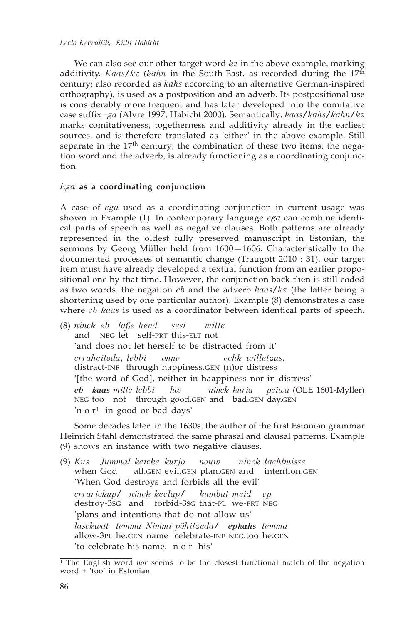## *Leelo Keevallik*, *Külli Habicht*

We can also see our other target word *kz* in the above example, marking additivity. *Kaas/kz* (*kahn* in the South-East, as recorded during the 17th century; also recorded as *kahs* according to an alternative German-inspired orthography), is used as a postposition and an adverb. Its postpositional use is considerably more frequent and has later developed into the comitative case suffix *-ga* (Alvre 1997; Habicht 2000). Semantically, *kaas/kahs/kahn/kz* marks comitativeness, togetherness and additivity already in the earliest sources, and is therefore translated as 'either' in the above example. Still separate in the  $17<sup>th</sup>$  century, the combination of these two items, the negation word and the adverb, is already functioning as a coordinating conjunction.

## *Ega* **as a coordinating conjunction**

A case of *ega* used as a coordinating conjunction in current usage was shown in Example (1). In contemporary language *ega* can combine identical parts of speech as well as negative clauses. Both patterns are already represented in the oldest fully preserved manuscript in Estonian, the sermons by Georg Müller held from 1600—1606. Characteristically to the documented processes of semantic change (Traugott 2010 : 31), our target item must have already developed a textual function from an earlier propositional one by that time. However, the conjunction back then is still coded as two words, the negation *eb* and the adverb *kaas/kz* (the latter being a shortening used by one particular author). Example (8) demonstrates a case where *eb kaas* is used as a coordinator between identical parts of speech.

(8) *ninck eb laße hend sest mitte* and NEG let self-PRT this-ELT not 'and does not let herself to be distracted from it' *erraheitoda*, *lebbi onne echk willetzus,* distract-INF through happiness.GEN (n)or distress '[the word of God], neither in haappiness nor in distress' *eb kaas mitte lebbi hæ ninck kuria peiwa* (OLE 1601-Myller) NEG too not through good.GEN and bad.GEN day.GEN 'n o r1 in good or bad days'

Some decades later, in the 1630s, the author of the first Estonian grammar Heinrich Stahl demonstrated the same phrasal and clausal patterns. Example (9) shows an instance with two negative clauses.

(9) *Kus Jummal keicke kurja nouw ninck tachtmisse* when God all.GEN evil.GEN plan.GEN and intention.GEN 'When God destroys and forbids all the evil' *errarickup/ ninck keelap/ kumbat meid ep* destroy-3SG and forbid-3SG that-PL we-PRT NEG 'plans and intentions that do not allow us' *lasckwat temma Nimmi pöhitzeda/ epkahs temma* allow-3PL he.GEN name celebrate-INF NEG.too he.GEN 'to celebrate his name, n o r his'

<sup>&</sup>lt;sup>1</sup> The English word *nor* seems to be the closest functional match of the negation word + 'too' in Estonian.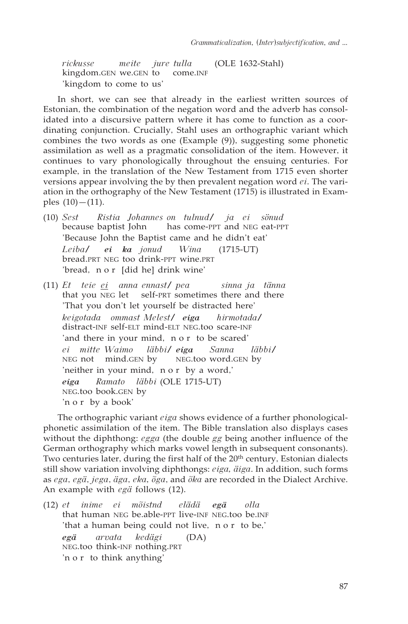*rickusse meite jure tulla* (OLE 1632-Stahl) kingdom.GEN we.GEN to 'kingdom to come to us'

In short, we can see that already in the earliest written sources of Estonian, the combination of the negation word and the adverb has consolidated into a discursive pattern where it has come to function as a coordinating conjunction. Crucially, Stahl uses an orthographic variant which combines the two words as one (Example (9)), suggesting some phonetic assimilation as well as a pragmatic consolidation of the item. However, it continues to vary phonologically throughout the ensuing centuries. For example, in the translation of the New Testament from 1715 even shorter versions appear involving the by then prevalent negation word *ei*. The variation in the orthography of the New Testament (1715) is illustrated in Examples  $(10) - (11)$ .

- (10) *Sest Ristia Johannes on tulnud/ ja ei sönud* has come-PPT and NEG eat-PPT 'Because John the Baptist came and he didn't eat' *Leiba/ ei ka jonud Wina* (1715-UT) bread.PRT NEG too drink-PPT wine.PRT 'bread, n o r [did he] drink wine'
- (11) *Et teie ei anna ennast/ pea sinna ja tänna* that you NEG let self-PRT sometimes there and there 'That you don't let yourself be distracted here' *keigotada ommast Melest/ eiga hirmotada/* distract-INF self-ELT mind-ELT NEG.too scare-INF 'and there in your mind, n o r to be scared' *ei mitte Waimo läbbi/ eiga Sanna läbbi/*  $NEG$  not mind.GEN by 'neither in your mind, n o r by a word,' *eiga Ramato läbbi* (OLE 1715-UT) NEG.too book.GEN by 'n o r by a book'

The orthographic variant *eiga* shows evidence of a further phonologicalphonetic assimilation of the item. The Bible translation also displays cases without the diphthong: *egga* (the double *gg* being another influence of the German orthography which marks vowel length in subsequent consonants). Two centuries later, during the first half of the 20<sup>th</sup> century, Estonian dialects still show variation involving diphthongs: *eiga, äiga*. In addition, such forms as *ega*, *egä*, *jega*, *äga*, *eka, õga*, and *õka* are recorded in the Dialect Archive. An example with *egä* follows (12).

(12) *et inime ei mõistnd elädä egä olla*  that human NEG be.able-PPT live-INF NEG.too be.INF 'that a human being could not live, nor to be,' *egä arvata kedägi* (DA) NEG.too think-INF nothing.PRT 'n o r to think anything'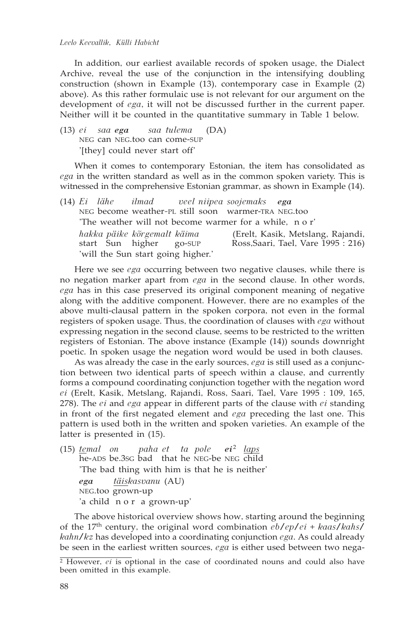#### *Leelo Keevallik*, *Külli Habicht*

In addition, our earliest available records of spoken usage, the Dialect Archive, reveal the use of the conjunction in the intensifying doubling construction (shown in Example (13), contemporary case in Example (2) above). As this rather formulaic use is not relevant for our argument on the development of *ega*, it will not be discussed further in the current paper. Neither will it be counted in the quantitative summary in Table 1 below.

(13) *ei saa ega saa tulema* (DA) NEG can NEG.too can come-SUP '[they] could never start off'

When it comes to contemporary Estonian, the item has consolidated as *ega* in the written standard as well as in the common spoken variety. This is witnessed in the comprehensive Estonian grammar, as shown in Example (14).

|  |                                                        | $(14) Ei$ lähe ilmad veel niipea soojemaks ega         |                                                                          |
|--|--------------------------------------------------------|--------------------------------------------------------|--------------------------------------------------------------------------|
|  |                                                        | NEG become weather-PL still soon warmer-TRA NEG.too    |                                                                          |
|  |                                                        | The weather will not become warmer for a while, n o r' |                                                                          |
|  | hakka päike kõrgemalt käima<br>start Sun higher go-SUP |                                                        | (Erelt, Kasik, Metslang, Rajandi,<br>Ross, Saari, Tael, Vare 1995 : 216) |
|  | 'will the Sun start going higher.'                     |                                                        |                                                                          |

Here we see *ega* occurring between two negative clauses, while there is no negation marker apart from *ega* in the second clause. In other words, *ega* has in this case preserved its original component meaning of negative along with the additive component. However, there are no examples of the above multi-clausal pattern in the spoken corpora, not even in the formal registers of spoken usage. Thus, the coordination of clauses with *ega* without expressing negation in the second clause, seems to be restricted to the written registers of Estonian. The above instance (Example (14)) sounds downright poetic. In spoken usage the negation word would be used in both clauses.

As was already the case in the early sources, *ega* is still used as a conjunction between two identical parts of speech within a clause, and currently forms a compound coordinating conjunction together with the negation word *ei* (Erelt, Kasik, Metslang, Rajandi, Ross, Saari, Tael, Vare 1995 : 109, 165, 278). The *ei* and *ega* appear in different parts of the clause with *ei* standing in front of the first negated element and *ega* preceding the last one. This pattern is used both in the written and spoken varieties. An example of the latter is presented in (15).

(15) *temal on paha et ta pole ei* <sup>2</sup> *laps* he-ADS be.3SG bad that he NEG-be NEG child 'The bad thing with him is that he is neither' *ega täiskasvanu* (AU) NEG.too grown-up 'a child n o r a grown-up'

The above historical overview shows how, starting around the beginning of the 17th century, the original word combination *eb/ep/ei* + *kaas/kahs/ kahn/kz* has developed into a coordinating conjunction *ega*. As could already be seen in the earliest written sources, *ega* is either used between two nega-

<sup>&</sup>lt;sup>2</sup> However, *ei* is optional in the case of coordinated nouns and could also have been omitted in this example.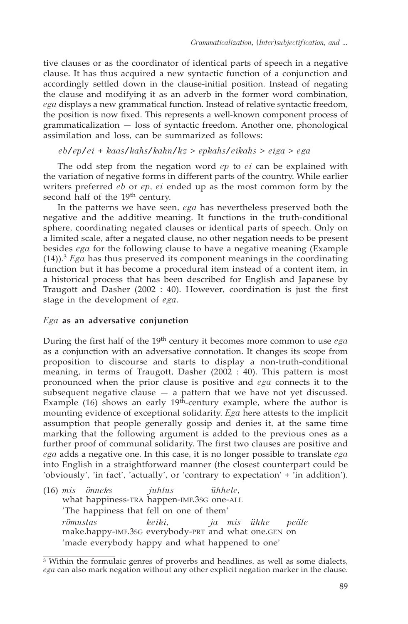tive clauses or as the coordinator of identical parts of speech in a negative clause. It has thus acquired a new syntactic function of a conjunction and accordingly settled down in the clause-initial position. Instead of negating the clause and modifying it as an adverb in the former word combination, *ega* displays a new grammatical function. Instead of relative syntactic freedom, the position is now fixed. This represents a well-known component process of grammaticalization — loss of syntactic freedom. Another one, phonological assimilation and loss, can be summarized as follows:

## *eb/ep/ei* + *kaas/kahs/kahn/kz* > *epkahs/eikahs* > *eiga* > *ega*

The odd step from the negation word *ep* to *ei* can be explained with the variation of negative forms in different parts of the country. While earlier writers preferred *eb* or *ep*, *ei* ended up as the most common form by the second half of the 19<sup>th</sup> century.

In the patterns we have seen, *ega* has nevertheless preserved both the negative and the additive meaning. It functions in the truth-conditional sphere, coordinating negated clauses or identical parts of speech. Only on a limited scale, after a negated clause, no other negation needs to be present besides *ega* for the following clause to have a negative meaning (Example  $(14)$ ).<sup>3</sup> *Ega* has thus preserved its component meanings in the coordinating function but it has become a procedural item instead of a content item, in a historical process that has been described for English and Japanese by Traugott and Dasher (2002 : 40). However, coordination is just the first stage in the development of *ega*.

# *Ega* **as an adversative conjunction**

During the first half of the 19th century it becomes more common to use *ega* as a conjunction with an adversative connotation. It changes its scope from proposition to discourse and starts to display a non-truth-conditional meaning, in terms of Traugott, Dasher (2002 : 40). This pattern is most pronounced when the prior clause is positive and *ega* connects it to the subsequent negative clause  $-$  a pattern that we have not yet discussed. Example (16) shows an early  $19<sup>th</sup>$ -century example, where the author is mounting evidence of exceptional solidarity. *Ega* here attests to the implicit assumption that people generally gossip and denies it, at the same time marking that the following argument is added to the previous ones as a further proof of communal solidarity. The first two clauses are positive and *ega* adds a negative one. In this case, it is no longer possible to translate *ega* into English in a straightforward manner (the closest counterpart could be 'obviously', 'in fact', 'actually', or 'contrary to expectation' + 'in addition').

(16) *mis önneks juhtus ühhele,* what happiness-TRA happen-IMF.3SG one-ALL 'The happiness that fell on one of them' *römustas keiki, ja mis ühhe peäle* make.happy-IMF.3SG everybody-PRT and what one.GEN on 'made everybody happy and what happened to one'

 $\frac{3}{3}$  Within the formulaic genres of proverbs and headlines, as well as some dialects, *ega* can also mark negation without any other explicit negation marker in the clause.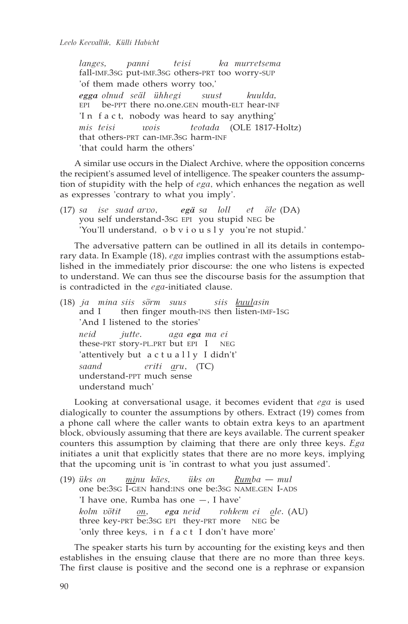*langes, panni teisi ka murretsema* fall-IMF.3SG put-IMF.3SG others-PRT too worry-SUP 'of them made others worry too,' *egga olnud seäl ühhegi suust kuulda,* EPI be-PPT there no.one.GEN mouth-ELT hear-INF 'I n f a c t, nobody was heard to say anything' *mis teisi wois teotada* (OLE 1817-Holtz) that others-PRT can-IMF.3SG harm-INF 'that could harm the others'

A similar use occurs in the Dialect Archive, where the opposition concerns the recipient's assumed level of intelligence. The speaker counters the assumption of stupidity with the help of *ega*, which enhances the negation as well as expresses 'contrary to what you imply'.

(17) *sa ise suad arvo, egä sa loll et õle* (DA) you self understand-3SG EPI you stupid NEG be 'You'll understand, obviously you're not stupid.'

The adversative pattern can be outlined in all its details in contemporary data. In Example (18), *ega* implies contrast with the assumptions established in the immediately prior discourse: the one who listens is expected to understand. We can thus see the discourse basis for the assumption that is contradicted in the *ega*-initiated clause.

(18) *ja mina siis sõrm suus siis kuulasin*  then finger mouth-INS then listen-IMF-1SG 'And I listened to the stories' *neid jutte. aga ega ma ei* these-PRT story-PL.PRT but EPI I NEG 'attentively but actually I didn't' *saand eriti aru*, (TC) understand-PPT much sense understand much'

Looking at conversational usage, it becomes evident that *ega* is used dialogically to counter the assumptions by others. Extract (19) comes from a phone call where the caller wants to obtain extra keys to an apartment block, obviously assuming that there are keys available. The current speaker counters this assumption by claiming that there are only three keys. *Ega* initiates a unit that explicitly states that there are no more keys, implying that the upcoming unit is 'in contrast to what you just assumed'.

(19) *üks on minu käes, üks on Rumba — mul*  one be:3SG I-GEN hand:INS one be:3SG NAME.GEN I-ADS 'I have one, Rumba has one —, I have' *kolm võtit on, ega neid rohkem ei ole.* (AU) three key-PRT be:3SG EPI they-PRT more NEG be 'only three keys, i n fact I don't have more'

The speaker starts his turn by accounting for the existing keys and then establishes in the ensuing clause that there are no more than three keys. The first clause is positive and the second one is a rephrase or expansion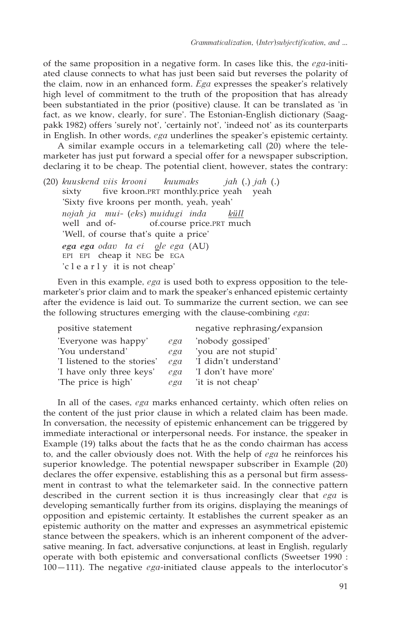of the same proposition in a negative form. In cases like this, the *ega*-initiated clause connects to what has just been said but reverses the polarity of the claim, now in an enhanced form. *Ega* expresses the speaker's relatively high level of commitment to the truth of the proposition that has already been substantiated in the prior (positive) clause. It can be translated as 'in fact, as we know, clearly, for sure'. The Estonian-English dictionary (Saagpakk 1982) offers 'surely not', 'certainly not', 'indeed not' as its counterparts in English. In other words, *ega* underlines the speaker's epistemic certainty.

A similar example occurs in a telemarketing call (20) where the telemarketer has just put forward a special offer for a newspaper subscription, declaring it to be cheap. The potential client, however, states the contrary:

(20) *kuuskend viis krooni kuumaks jah* (.) *jah* (.) sixty five kroon.PRT monthly.price yeah 'Sixty five kroons per month, yeah, yeah' *nojah ja mui-* (*eks*) *muidugi inda* <u>küll</u><br>well and of- of.course price.PRT muc of.course price.PRT much 'Well, of course that's quite a price' *ega ega odav ta ei ole ega* (AU) EPI EPI cheap it NEG be EGA 'c l e a r l y it is not cheap'

Even in this example, *ega* is used both to express opposition to the telemarketer's prior claim and to mark the speaker's enhanced epistemic certainty after the evidence is laid out. To summarize the current section, we can see the following structures emerging with the clause-combining *ega*:

| positive statement          |     | negative rephrasing/expansion |
|-----------------------------|-----|-------------------------------|
| 'Everyone was happy'        | ega | 'nobody gossiped'             |
| 'You understand'            | ega | 'you are not stupid'          |
| 'I listened to the stories' | ega | 'I didn't understand'         |
| 'I have only three keys'    | ega | 'I don't have more'           |
| 'The price is high'         | ega | 'it is not cheap'             |
|                             |     |                               |

In all of the cases, *ega* marks enhanced certainty, which often relies on the content of the just prior clause in which a related claim has been made. In conversation, the necessity of epistemic enhancement can be triggered by immediate interactional or interpersonal needs. For instance, the speaker in Example (19) talks about the facts that he as the condo chairman has access to, and the caller obviously does not. With the help of *ega* he reinforces his superior knowledge. The potential newspaper subscriber in Example (20) declares the offer expensive, establishing this as a personal but firm assessment in contrast to what the telemarketer said. In the connective pattern described in the current section it is thus increasingly clear that *ega* is developing semantically further from its origins, displaying the meanings of opposition and epistemic certainty. It establishes the current speaker as an epistemic authority on the matter and expresses an asymmetrical epistemic stance between the speakers, which is an inherent component of the adversative meaning. In fact, adversative conjunctions, at least in English, regularly operate with both epistemic and conversational conflicts (Sweetser 1990 : 100—111). The negative *ega*-initiated clause appeals to the interlocutor's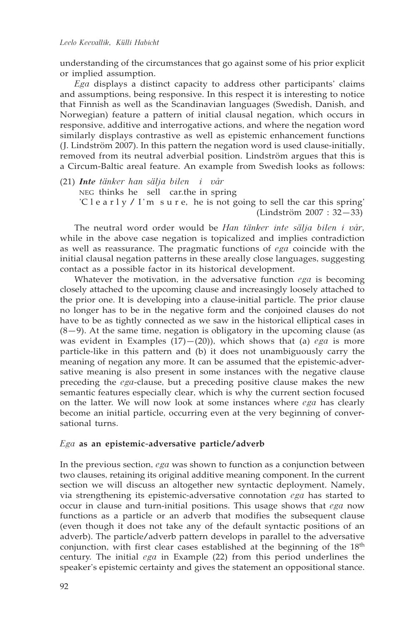understanding of the circumstances that go against some of his prior explicit or implied assumption.

*Ega* displays a distinct capacity to address other participants' claims and assumptions, being responsive. In this respect it is interesting to notice that Finnish as well as the Scandinavian languages (Swedish, Danish, and Norwegian) feature a pattern of initial clausal negation, which occurs in responsive, additive and interrogative actions, and where the negation word similarly displays contrastive as well as epistemic enhancement functions (J. Lindström 2007). In this pattern the negation word is used clause-initially, removed from its neutral adverbial position. Lindström argues that this is a Circum-Baltic areal feature. An example from Swedish looks as follows:

(21) *Inte tänker han sälja bilen i vår* NEG thinks he sell car.the in spring 'C l e a r  $\lg$  / I' m s u r e, he is not going to sell the car this spring' (Lindström 2007 : 32—33)

The neutral word order would be *Han tänker inte sälja bilen i vår,* while in the above case negation is topicalized and implies contradiction as well as reassurance. The pragmatic functions of *ega* coincide with the initial clausal negation patterns in these areally close languages, suggesting contact as a possible factor in its historical development.

Whatever the motivation, in the adversative function *ega* is becoming closely attached to the upcoming clause and increasingly loosely attached to the prior one. It is developing into a clause-initial particle. The prior clause no longer has to be in the negative form and the conjoined clauses do not have to be as tightly connected as we saw in the historical elliptical cases in  $(8-9)$ . At the same time, negation is obligatory in the upcoming clause (as was evident in Examples (17)—(20)), which shows that (a) *ega* is more particle-like in this pattern and (b) it does not unambiguously carry the meaning of negation any more. It can be assumed that the epistemic-adversative meaning is also present in some instances with the negative clause preceding the *ega*-clause, but a preceding positive clause makes the new semantic features especially clear, which is why the current section focused on the latter. We will now look at some instances where *ega* has clearly become an initial particle, occurring even at the very beginning of conversational turns.

# *Ega* **as an epistemic-adversative particle/adverb**

In the previous section, *ega* was shown to function as a conjunction between two clauses, retaining its original additive meaning component. In the current section we will discuss an altogether new syntactic deployment. Namely, via strengthening its epistemic-adversative connotation *ega* has started to occur in clause and turn-initial positions. This usage shows that *ega* now functions as a particle or an adverb that modifies the subsequent clause (even though it does not take any of the default syntactic positions of an adverb). The particle/adverb pattern develops in parallel to the adversative conjunction, with first clear cases established at the beginning of the 18<sup>th</sup> century. The initial *ega* in Example (22) from this period underlines the speaker's epistemic certainty and gives the statement an oppositional stance.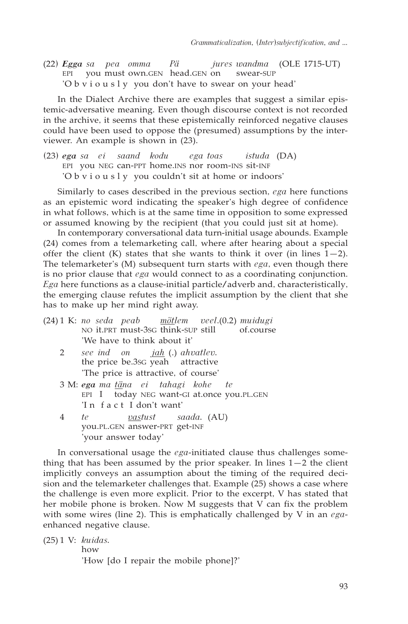(22) *Egga sa pea omma Pä jures wandma* (OLE 1715-UT) EPI you must own.GEN head.GEN on swear-SUP 'O b v i o u s l y you don't have to swear on your head'

In the Dialect Archive there are examples that suggest a similar epistemic-adversative meaning. Even though discourse context is not recorded in the archive, it seems that these epistemically reinforced negative clauses could have been used to oppose the (presumed) assumptions by the interviewer. An example is shown in (23).

(23) *ega sa ei saand kodu ega toas istuda* (DA) EPI you NEG can-PPT home.INS nor room-INS sit-INF 'O b v i o u s l y you couldn't sit at home or indoors'

Similarly to cases described in the previous section, *ega* here functions as an epistemic word indicating the speaker's high degree of confidence in what follows, which is at the same time in opposition to some expressed or assumed knowing by the recipient (that you could just sit at home).

In contemporary conversational data turn-initial usage abounds. Example (24) comes from a telemarketing call, where after hearing about a special offer the client (K) states that she wants to think it over (in lines  $1-2$ ). The telemarketer's (M) subsequent turn starts with *ega*, even though there is no prior clause that *ega* would connect to as a coordinating conjunction. *Ega* here functions as a clause-initial particle/adverb and, characteristically, the emerging clause refutes the implicit assumption by the client that she has to make up her mind right away.

|                 | (24) 1 K: no seda peab mõtlem veel.(0.2) muidugi<br>NO it.PRT must-3sG think-SUP still of.course                |
|-----------------|-----------------------------------------------------------------------------------------------------------------|
|                 | 'We have to think about it'                                                                                     |
| $2\overline{ }$ | see ind on <u>jah</u> (.) ahvatlev.<br>the price be.3sG yeah attractive<br>'The price is attractive, of course' |
|                 | 3 M: ega ma täna ei tahagi kohe te<br>EPI I today NEG want-GI at.once you.PL.GEN<br>'In fact I don't want'      |
| 4               | <i>vastust saada.</i> (AU)<br>te –<br>you.PL.GEN answer-PRT get-INF<br>'your answer today'                      |
|                 |                                                                                                                 |

In conversational usage the *ega*-initiated clause thus challenges something that has been assumed by the prior speaker. In lines  $1-2$  the client implicitly conveys an assumption about the timing of the required decision and the telemarketer challenges that. Example (25) shows a case where the challenge is even more explicit. Prior to the excerpt, V has stated that her mobile phone is broken. Now M suggests that V can fix the problem with some wires (line 2). This is emphatically challenged by V in an *ega*enhanced negative clause.

(25) 1 V: *kuidas.* how

'How [do I repair the mobile phone]?'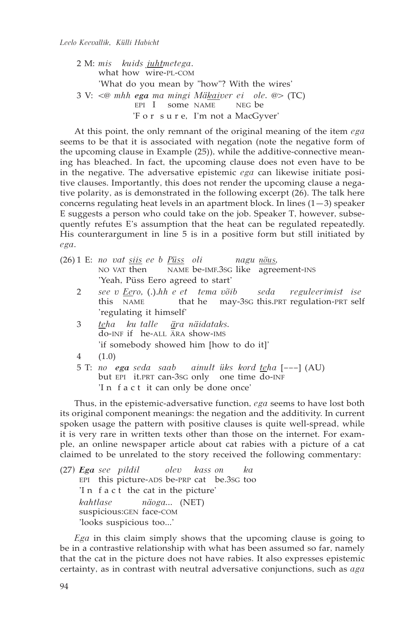2 M: *mis kuids juhtmetega*. what how wire-PL-COM 'What do you mean by "how"? With the wires' 3 V: *<@ mhh ega ma mingi Mäkaiver ei ole. @>* (TC) EPI I some NAME 'F o r s u r e, I'm not a MacGyver'

At this point, the only remnant of the original meaning of the item *ega* seems to be that it is associated with negation (note the negative form of the upcoming clause in Example (25)), while the additive-connective meaning has bleached. In fact, the upcoming clause does not even have to be in the negative. The adversative epistemic *ega* can likewise initiate positive clauses. Importantly, this does not render the upcoming clause a negative polarity, as is demonstrated in the following excerpt (26). The talk here concerns regulating heat levels in an apartment block. In lines  $(1-3)$  speaker E suggests a person who could take on the job. Speaker T, however, subsequently refutes E's assumption that the heat can be regulated repeatedly. His counterargument in line 5 is in a positive form but still initiated by *ega*.

- (26) 1 E: *no vat siis ee b Püss oli nagu nõus,* NAME be-IMF.3sG like agreement-INS 'Yeah, Püss Eero agreed to start'
	- 2 *see v Eero,* (.).*hh e et tema võib seda reguleerimist ise* that he may-3sG this.PRT regulation-PRT self 'regulating it himself'
	- 3 *teha ku talle ära näidataks.* do-INF if he-ALL ÄRA show-IMS 'if somebody showed him [how to do it]'
	- 4 (1.0)
	- 5 T: *no ega seda saab ainult üks kord teha* [–––] (AU) but EPI it.PRT can-3SG only one time do-INF 'I n f a c t it can only be done once'

Thus, in the epistemic-adversative function, *ega* seems to have lost both its original component meanings: the negation and the additivity. In current spoken usage the pattern with positive clauses is quite well-spread, while it is very rare in written texts other than those on the internet. For example, an online newspaper article about cat rabies with a picture of a cat claimed to be unrelated to the story received the following commentary:

(27) *Ega see pildil olev kass on ka* EPI this picture-ADS be-PRP cat be.3SG too 'I n f a c t the cat in the picture' *kahtlase näoga...* (NET) suspicious:GEN face-COM 'looks suspicious too...'

*Ega* in this claim simply shows that the upcoming clause is going to be in a contrastive relationship with what has been assumed so far, namely that the cat in the picture does not have rabies. It also expresses epistemic certainty, as in contrast with neutral adversative conjunctions, such as *aga*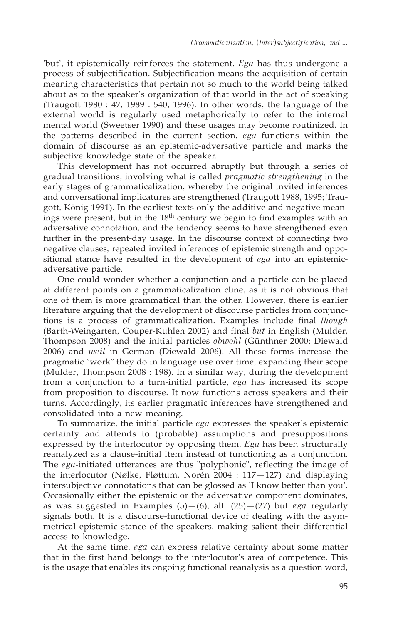'but', it epistemically reinforces the statement. *Ega* has thus undergone a process of subjectification. Subjectification means the acquisition of certain meaning characteristics that pertain not so much to the world being talked about as to the speaker's organization of that world in the act of speaking (Traugott 1980 : 47, 1989 : 540, 1996). In other words, the language of the external world is regularly used metaphorically to refer to the internal mental world (Sweetser 1990) and these usages may become routinized. In the patterns described in the current section, *ega* functions within the domain of discourse as an epistemic-adversative particle and marks the subjective knowledge state of the speaker.

This development has not occurred abruptly but through a series of gradual transitions, involving what is called *pragmatic strengthening* in the early stages of grammaticalization, whereby the original invited inferences and conversational implicatures are strengthened (Traugott 1988, 1995; Traugott, König 1991). In the earliest texts only the additive and negative meanings were present, but in the 18<sup>th</sup> century we begin to find examples with an adversative connotation, and the tendency seems to have strengthened even further in the present-day usage. In the discourse context of connecting two negative clauses, repeated invited inferences of epistemic strength and oppositional stance have resulted in the development of *ega* into an epistemicadversative particle.

One could wonder whether a conjunction and a particle can be placed at different points on a grammaticalization cline, as it is not obvious that one of them is more grammatical than the other. However, there is earlier literature arguing that the development of discourse particles from conjunctions is a process of grammaticalization. Examples include final *though* (Barth-Weingarten, Couper-Kuhlen 2002) and final *but* in English (Mulder, Thompson 2008) and the initial particles *obwohl* (Günthner 2000; Diewald 2006) and *weil* in German (Diewald 2006). All these forms increase the pragmatic "work" they do in language use over time, expanding their scope (Mulder, Thompson 2008 : 198). In a similar way, during the development from a conjunction to a turn-initial particle, *ega* has increased its scope from proposition to discourse. It now functions across speakers and their turns. Accordingly, its earlier pragmatic inferences have strengthened and consolidated into a new meaning.

To summarize, the initial particle *ega* expresses the speaker's epistemic certainty and attends to (probable) assumptions and presuppositions expressed by the interlocutor by opposing them. *Ega* has been structurally reanalyzed as a clause-initial item instead of functioning as a conjunction. The *ega*-initiated utterances are thus "polyphonic", reflecting the image of the interlocutor (Nølke, Fløttum, Norén 2004 : 117—127) and displaying intersubjective connotations that can be glossed as 'I know better than you'. Occasionally either the epistemic or the adversative component dominates, as was suggested in Examples (5)—(6), alt. (25)—(27) but *ega* regularly signals both. It is a discourse-functional device of dealing with the asymmetrical epistemic stance of the speakers, making salient their differential access to knowledge.

At the same time, *ega* can express relative certainty about some matter that in the first hand belongs to the interlocutor's area of competence. This is the usage that enables its ongoing functional reanalysis as a question word,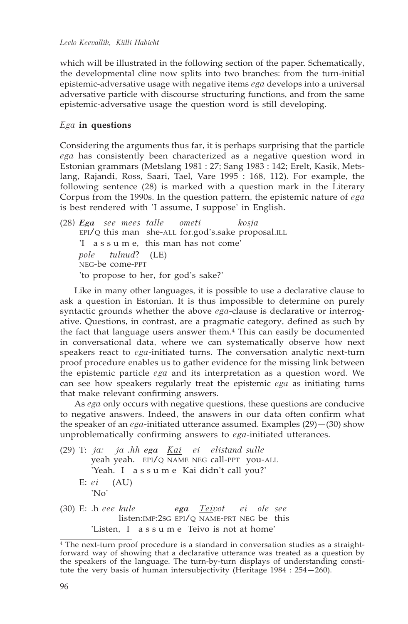which will be illustrated in the following section of the paper. Schematically, the developmental cline now splits into two branches: from the turn-initial epistemic-adversative usage with negative items *ega* develops into a universal adversative particle with discourse structuring functions, and from the same epistemic-adversative usage the question word is still developing.

# *Ega* **in questions**

Considering the arguments thus far, it is perhaps surprising that the particle *ega* has consistently been characterized as a negative question word in Estonian grammars (Metslang 1981 : 27; Sang 1983 : 142; Erelt, Kasik, Metslang, Rajandi, Ross, Saari, Tael, Vare 1995 : 168, 112). For example, the following sentence (28) is marked with a question mark in the Literary Corpus from the 1990s. In the question pattern, the epistemic nature of *ega* is best rendered with 'I assume, I suppose' in English.

(28) *Ega see mees talle ometi kosja*  EPI/Q this man she-ALL for.god's.sake proposal.ILL 'I a s s u m e, this man has not come' *pole tulnud*? (LE) NEG-be come-PPT 'to propose to her, for god's sake?'

Like in many other languages, it is possible to use a declarative clause to ask a question in Estonian. It is thus impossible to determine on purely syntactic grounds whether the above *ega*-clause is declarative or interrogative. Questions, in contrast, are a pragmatic category, defined as such by the fact that language users answer them.4 This can easily be documented in conversational data, where we can systematically observe how next speakers react to *ega*-initiated turns. The conversation analytic next-turn proof procedure enables us to gather evidence for the missing link between the epistemic particle *ega* and its interpretation as a question word. We can see how speakers regularly treat the epistemic *ega* as initiating turns that make relevant confirming answers.

As *ega* only occurs with negative questions, these questions are conducive to negative answers. Indeed, the answers in our data often confirm what the speaker of an *ega*-initiated utterance assumed. Examples (29)—(30) show unproblematically confirming answers to *ega*-initiated utterances.

- (29) T: *ja: ja .hh ega Kai ei elistand sulle* yeah yeah. EPI/Q NAME NEG call-PPT you-ALL 'Yeah. I a s s u m e Kai didn't call you?' E: *ei* (AU) 'No'
- (30) E: .h *eee kule ega Teivot ei ole see*  listen:IMP:2SG EPI/Q NAME-PRT NEG be this 'Listen, I a s s u m e Teivo is not at home'

<sup>4</sup> The next-turn proof procedure is a standard in conversation studies as a straightforward way of showing that a declarative utterance was treated as a question by the speakers of the language. The turn-by-turn displays of understanding constitute the very basis of human intersubjectivity (Heritage  $1984 : 254 - 260$ ).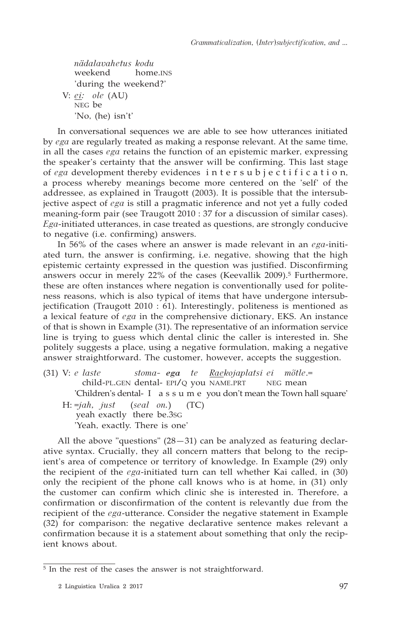*nädalavahetus kodu* home.<sub>INS</sub> 'during the weekend?' V: *ei: ole* (AU) NEG be 'No, (he) isn't'

In conversational sequences we are able to see how utterances initiated by *ega* are regularly treated as making a response relevant. At the same time, in all the cases *ega* retains the function of an epistemic marker, expressing the speaker's certainty that the answer will be confirming. This last stage of *ega* development thereby evidences intersubjectification, a process whereby meanings become more centered on the 'self' of the addressee, as explained in Traugott (2003). It is possible that the intersubjective aspect of *ega* is still a pragmatic inference and not yet a fully coded meaning-form pair (see Traugott 2010 : 37 for a discussion of similar cases). *Ega*-initiated utterances, in case treated as questions, are strongly conducive to negative (i.e. confirming) answers.

In 56% of the cases where an answer is made relevant in an *ega*-initiated turn, the answer is confirming, i.e. negative, showing that the high epistemic certainty expressed in the question was justified. Disconfirming answers occur in merely 22% of the cases (Keevallik 2009).5 Furthermore, these are often instances where negation is conventionally used for politeness reasons, which is also typical of items that have undergone intersubjectification (Traugott 2010 : 61). Interestingly, politeness is mentioned as a lexical feature of *ega* in the comprehensive dictionary, EKS. An instance of that is shown in Example (31). The representative of an information service line is trying to guess which dental clinic the caller is interested in. She politely suggests a place, using a negative formulation, making a negative answer straightforward. The customer, however, accepts the suggestion.

(31) V: *e laste stoma- ega te Raekojaplatsi ei mõtle*.=  $\overline{\text{child-PL.GEN}}$  dental- EPI/Q you NAME.PRT 'Children's dental- I a s s u m e you don't mean the Town hall square' H: =*jah, just* (*seal on.*) (TC) yeah exactly there be.3SG 'Yeah, exactly. There is one'

All the above "questions"  $(28-31)$  can be analyzed as featuring declarative syntax. Crucially, they all concern matters that belong to the recipient's area of competence or territory of knowledge. In Example (29) only the recipient of the *ega*-initiated turn can tell whether Kai called, in (30) only the recipient of the phone call knows who is at home, in (31) only the customer can confirm which clinic she is interested in. Therefore, a confirmation or disconfirmation of the content is relevantly due from the recipient of the *ega*-utterance. Consider the negative statement in Example (32) for comparison: the negative declarative sentence makes relevant a confirmation because it is a statement about something that only the recipient knows about.

<sup>&</sup>lt;sup>5</sup> In the rest of the cases the answer is not straightforward.

<sup>2</sup> Linguistica Uralica 2 2017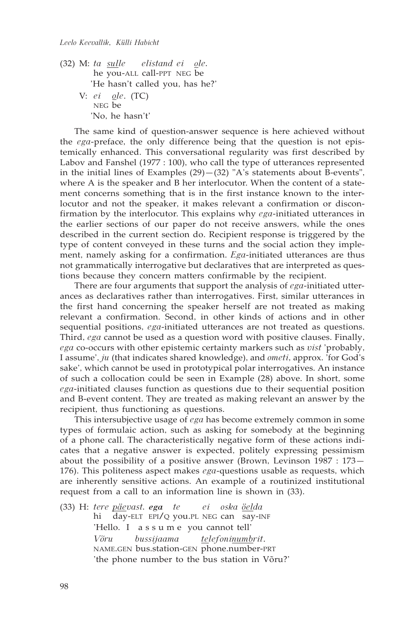(32) M: *ta sulle elistand ei ole.* he you-ALL call-PPT NEG be 'He hasn't called you, has he?' V: *ei ole*. (TC) NEG be 'No, he hasn't'

The same kind of question-answer sequence is here achieved without the *ega*-preface, the only difference being that the question is not epistemically enhanced. This conversational regularity was first described by Labov and Fanshel (1977 : 100), who call the type of utterances represented in the initial lines of Examples  $(29)$  – $(32)$  "A's statements about B-events", where A is the speaker and B her interlocutor. When the content of a statement concerns something that is in the first instance known to the interlocutor and not the speaker, it makes relevant a confirmation or disconfirmation by the interlocutor. This explains why *ega*-initiated utterances in the earlier sections of our paper do not receive answers, while the ones described in the current section do. Recipient response is triggered by the type of content conveyed in these turns and the social action they implement, namely asking for a confirmation. *Ega*-initiated utterances are thus not grammatically interrogative but declaratives that are interpreted as questions because they concern matters confirmable by the recipient.

There are four arguments that support the analysis of *ega*-initiated utterances as declaratives rather than interrogatives. First, similar utterances in the first hand concerning the speaker herself are not treated as making relevant a confirmation. Second, in other kinds of actions and in other sequential positions, *ega*-initiated utterances are not treated as questions. Third, *ega* cannot be used as a question word with positive clauses. Finally, *ega* co-occurs with other epistemic certainty markers such as *vist* 'probably, I assume', *ju* (that indicates shared knowledge), and *ometi*, approx. 'for God's sake', which cannot be used in prototypical polar interrogatives. An instance of such a collocation could be seen in Example (28) above. In short, some *ega*-initiated clauses function as questions due to their sequential position and B-event content. They are treated as making relevant an answer by the recipient, thus functioning as questions.

This intersubjective usage of *ega* has become extremely common in some types of formulaic action, such as asking for somebody at the beginning of a phone call. The characteristically negative form of these actions indicates that a negative answer is expected, politely expressing pessimism about the possibility of a positive answer (Brown, Levinson 1987 : 173— 176). This politeness aspect makes *ega*-questions usable as requests, which are inherently sensitive actions. An example of a routinized institutional request from a call to an information line is shown in (33).

(33) H: *tere päevast. ega te ei oska öelda* hi day-ELT EPI/Q you.PL NEG can say-INF 'Hello. I a s s u m e you cannot tell' *Võru bussijaama telefoninumbrit*. NAME.GEN bus.station-GEN phone.number-PRT 'the phone number to the bus station in Võru?'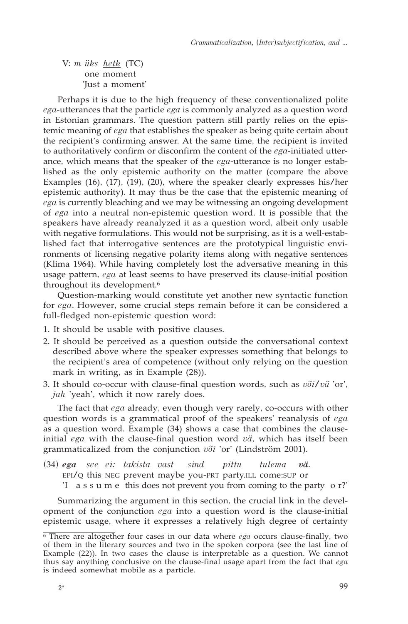V: *m üks hetk* (TC) one moment 'Just a moment'

Perhaps it is due to the high frequency of these conventionalized polite *ega*-utterances that the particle *ega* is commonly analyzed as a question word in Estonian grammars. The question pattern still partly relies on the epistemic meaning of *ega* that establishes the speaker as being quite certain about the recipient's confirming answer. At the same time, the recipient is invited to authoritatively confirm or disconfirm the content of the *ega*-initiated utterance, which means that the speaker of the *ega*-utterance is no longer established as the only epistemic authority on the matter (compare the above Examples (16), (17), (19), (20), where the speaker clearly expresses his/her epistemic authority). It may thus be the case that the epistemic meaning of *ega* is currently bleaching and we may be witnessing an ongoing development of *ega* into a neutral non-epistemic question word. It is possible that the speakers have already reanalyzed it as a question word, albeit only usable with negative formulations. This would not be surprising, as it is a well-established fact that interrogative sentences are the prototypical linguistic environments of licensing negative polarity items along with negative sentences (Klima 1964). While having completely lost the adversative meaning in this usage pattern, *ega* at least seems to have preserved its clause-initial position throughout its development.<sup>6</sup>

Question-marking would constitute yet another new syntactic function for *ega*. However, some crucial steps remain before it can be considered a full-fledged non-epistemic question word:

- 1. It should be usable with positive clauses.
- 2. It should be perceived as a question outside the conversational context described above where the speaker expresses something that belongs to the recipient's area of competence (without only relying on the question mark in writing, as in Example (28)).
- 3. It should co-occur with clause-final question words, such as *või/vä* 'or', *jah* 'yeah', which it now rarely does.

The fact that *ega* already, even though very rarely, co-occurs with other question words is a grammatical proof of the speakers' reanalysis of *ega* as a question word. Example (34) shows a case that combines the clauseinitial *ega* with the clause-final question word *vä*, which has itself been grammaticalized from the conjunction *või* 'or' (Lindström 2001).

(34) *ega see ei: takista vast sind pittu tulema vä.* EPI/Q this NEG prevent maybe you-PRT party.ILL come:SUP or 'I a s s u m e this does not prevent you from coming to the party o r?'

Summarizing the argument in this section, the crucial link in the development of the conjunction *ega* into a question word is the clause-initial epistemic usage, where it expresses a relatively high degree of certainty

<sup>6</sup> There are altogether four cases in our data where *ega* occurs clause-finally, two of them in the literary sources and two in the spoken corpora (see the last line of Example (22)). In two cases the clause is interpretable as a question. We cannot thus say anything conclusive on the clause-final usage apart from the fact that *ega* is indeed somewhat mobile as a particle.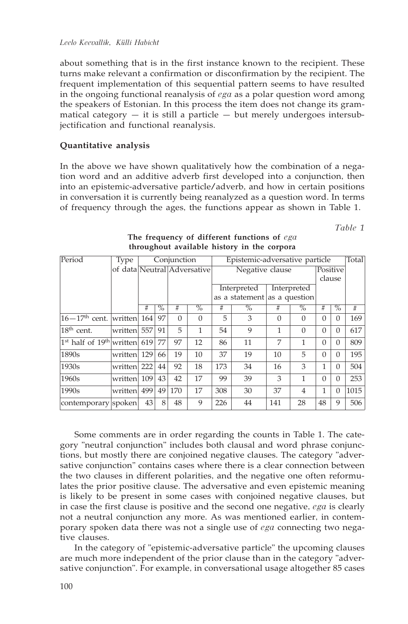about something that is in the first instance known to the recipient. These turns make relevant a confirmation or disconfirmation by the recipient. The frequent implementation of this sequential pattern seems to have resulted in the ongoing functional reanalysis of *ega* as a polar question word among the speakers of Estonian. In this process the item does not change its grammatical category  $-$  it is still a particle  $-$  but merely undergoes intersubjectification and functional reanalysis.

# **Quantitative analysis**

In the above we have shown qualitatively how the combination of a negation word and an additive adverb first developed into a conjunction, then into an epistemic-adversative particle/adverb, and how in certain positions in conversation it is currently being reanalyzed as a question word. In terms of frequency through the ages, the functions appear as shown in Table 1.

*Table 1*

| Period                                  | Type                        | Conjunction |                 | Epistemic-adversative particle |          |                            |                              |          | Total               |              |                 |      |
|-----------------------------------------|-----------------------------|-------------|-----------------|--------------------------------|----------|----------------------------|------------------------------|----------|---------------------|--------------|-----------------|------|
|                                         | of data Neutral Adversative |             | Negative clause |                                |          |                            | Positive                     |          |                     |              |                 |      |
|                                         |                             |             |                 |                                |          |                            |                              |          |                     |              | clause          |      |
|                                         |                             |             |                 |                                |          | Interpreted<br>Interpreted |                              |          |                     |              |                 |      |
|                                         |                             |             |                 |                                |          |                            | as a statement as a question |          |                     |              |                 |      |
|                                         |                             | #           | $\%$            | #                              | $\%$     | #                          | $\sqrt{\frac{6}{}}$          | #        | $\sqrt{\frac{6}{}}$ | #            | $\overline{\%}$ | #    |
| $16-17$ <sup>th</sup> cent. written 164 |                             |             | 97              | $\Omega$                       | $\theta$ | 5                          | 3                            | $\Omega$ | $\Omega$            | $\Omega$     | $\theta$        | 169  |
| $18th$ cent.                            | written 557                 |             | 91              | 5                              | 1        | 54                         | 9                            | 1        | $\Omega$            | $\Omega$     | $\Omega$        | 617  |
| $1st$ half of $19th$ written 619        |                             |             | 77              | 97                             | 12       | 86                         | 11                           | 7        | 1                   | $\Omega$     | $\Omega$        | 809  |
| 1890s                                   | written 129                 |             | 66              | 19                             | 10       | 37                         | 19                           | 10       | 5                   | $\Omega$     | $\Omega$        | 195  |
| 1930 <sub>s</sub>                       | written 222                 |             | 44              | 92                             | 18       | 173                        | 34                           | 16       | 3                   | $\mathbf{1}$ | $\Omega$        | 504  |
| 1960s                                   | written 109                 |             | 43              | 42                             | 17       | 99                         | 39                           | 3        | $\mathbf{1}$        | $\Omega$     | $\Omega$        | 253  |
| 1990s                                   | written 499                 |             | 49              | 170                            | 17       | 308                        | 30                           | 37       | $\overline{4}$      | $\mathbf{1}$ | $\Omega$        | 1015 |
| contemporary spoken                     |                             | 43          | 8               | 48                             | 9        | 226                        | 44                           | 141      | 28                  | 48           | 9               | 506  |

## **The frequency of different functions of** *ega* **throughout available history in the corpora**

Some comments are in order regarding the counts in Table 1. The category "neutral conjunction" includes both clausal and word phrase conjunctions, but mostly there are conjoined negative clauses. The category "adversative conjunction" contains cases where there is a clear connection between the two clauses in different polarities, and the negative one often reformulates the prior positive clause. The adversative and even epistemic meaning is likely to be present in some cases with conjoined negative clauses, but in case the first clause is positive and the second one negative, *ega* is clearly not a neutral conjunction any more. As was mentioned earlier, in contemporary spoken data there was not a single use of *ega* connecting two negative clauses.

In the category of "epistemic-adversative particle" the upcoming clauses are much more independent of the prior clause than in the category "adversative conjunction". For example, in conversational usage altogether 85 cases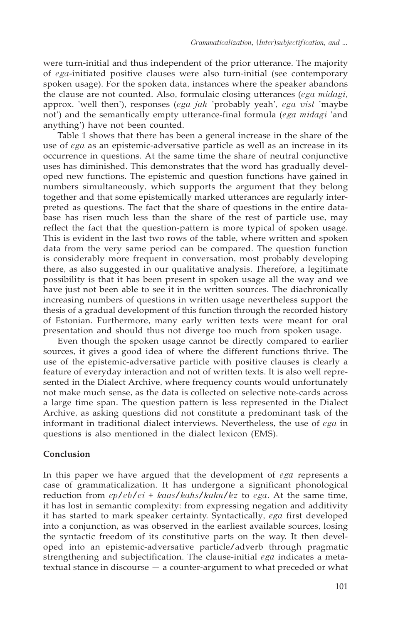were turn-initial and thus independent of the prior utterance. The majority of *ega*-initiated positive clauses were also turn-initial (see contemporary spoken usage). For the spoken data, instances where the speaker abandons the clause are not counted. Also, formulaic closing utterances (*ega midagi*, approx. 'well then'), responses (*ega jah* 'probably yeah'*, ega vist* 'maybe not') and the semantically empty utterance-final formula (*ega midagi* 'and anything') have not been counted.

Table 1 shows that there has been a general increase in the share of the use of *ega* as an epistemic-adversative particle as well as an increase in its occurrence in questions. At the same time the share of neutral conjunctive uses has diminished. This demonstrates that the word has gradually developed new functions. The epistemic and question functions have gained in numbers simultaneously, which supports the argument that they belong together and that some epistemically marked utterances are regularly interpreted as questions. The fact that the share of questions in the entire database has risen much less than the share of the rest of particle use, may reflect the fact that the question-pattern is more typical of spoken usage. This is evident in the last two rows of the table, where written and spoken data from the very same period can be compared. The question function is considerably more frequent in conversation, most probably developing there, as also suggested in our qualitative analysis. Therefore, a legitimate possibility is that it has been present in spoken usage all the way and we have just not been able to see it in the written sources. The diachronically increasing numbers of questions in written usage nevertheless support the thesis of a gradual development of this function through the recorded history of Estonian. Furthermore, many early written texts were meant for oral presentation and should thus not diverge too much from spoken usage.

Even though the spoken usage cannot be directly compared to earlier sources, it gives a good idea of where the different functions thrive. The use of the epistemic-adversative particle with positive clauses is clearly a feature of everyday interaction and not of written texts. It is also well represented in the Dialect Archive, where frequency counts would unfortunately not make much sense, as the data is collected on selective note-cards across a large time span. The question pattern is less represented in the Dialect Archive, as asking questions did not constitute a predominant task of the informant in traditional dialect interviews. Nevertheless, the use of *ega* in questions is also mentioned in the dialect lexicon (EMS).

## **Conclusion**

In this paper we have argued that the development of *ega* represents a case of grammaticalization. It has undergone a significant phonological reduction from *ep/eb/ei* + *kaas/kahs/kahn/kz* to *ega*. At the same time, it has lost in semantic complexity: from expressing negation and additivity it has started to mark speaker certainty. Syntactically, *ega* first developed into a conjunction, as was observed in the earliest available sources, losing the syntactic freedom of its constitutive parts on the way. It then developed into an epistemic-adversative particle/adverb through pragmatic strengthening and subjectification. The clause-initial *ega* indicates a metatextual stance in discourse — a counter-argument to what preceded or what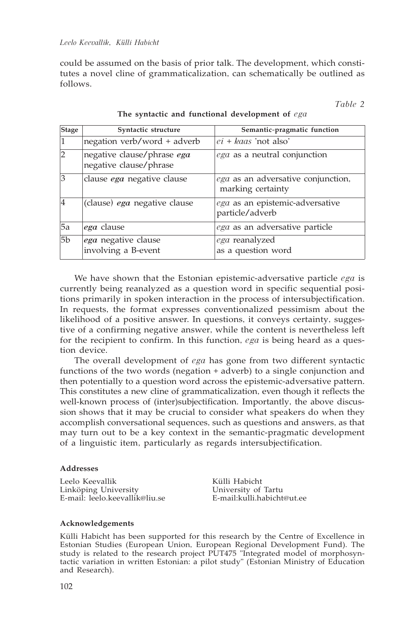could be assumed on the basis of prior talk. The development, which constitutes a novel cline of grammaticalization, can schematically be outlined as follows.

*Table 2*

| <b>Stage</b>   | Syntactic structure                                  | Semantic-pragmatic function                             |
|----------------|------------------------------------------------------|---------------------------------------------------------|
| 1              | negation verb/word + adverb                          | $ei + kaas$ 'not also'                                  |
| $\overline{2}$ | negative clause/phrase ega<br>negative clause/phrase | ega as a neutral conjunction                            |
| $\overline{3}$ | clause ega negative clause                           | ega as an adversative conjunction,<br>marking certainty |
| $\vert 4$      | (clause) ega negative clause                         | ega as an epistemic-adversative<br>particle/adverb      |
| <b>5a</b>      | <i>ega</i> clause                                    | ega as an adversative particle                          |
| 5 <sub>b</sub> | ega negative clause<br>involving a B-event           | ega reanalyzed<br>as a question word                    |

**The syntactic and functional development of** *ega*

We have shown that the Estonian epistemic-adversative particle *ega* is currently being reanalyzed as a question word in specific sequential positions primarily in spoken interaction in the process of intersubjectification. In requests, the format expresses conventionalized pessimism about the likelihood of a positive answer. In questions, it conveys certainty, suggestive of a confirming negative answer, while the content is nevertheless left for the recipient to confirm. In this function, *ega* is being heard as a question device.

The overall development of *ega* has gone from two different syntactic functions of the two words (negation + adverb) to a single conjunction and then potentially to a question word across the epistemic-adversative pattern. This constitutes a new cline of grammaticalization, even though it reflects the well-known process of (inter)subjectification. Importantly, the above discussion shows that it may be crucial to consider what speakers do when they accomplish conversational sequences, such as questions and answers, as that may turn out to be a key context in the semantic-pragmatic development of a linguistic item, particularly as regards intersubjectification.

#### **Addresses**

Leelo Keevallik<br>
Linköping University<br>
University of Tartu Linköping University University of Tartu E-mail: leelo.keevallik@liu.se

## **Acknowledgements**

Külli Habicht has been supported for this research by the Centre of Excellence in Estonian Studies (European Union, European Regional Development Fund). The study is related to the research project PUT475 "Integrated model of morphosyntactic variation in written Estonian: a pilot study" (Estonian Ministry of Education and Research).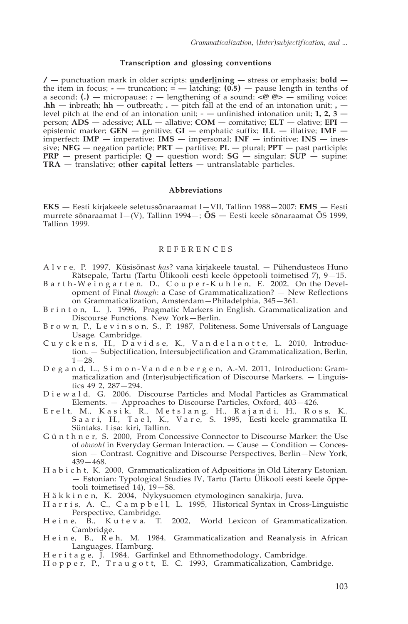#### **Transcription and glossing conventions**

**/ —** punctuation mark in older scripts; **underlining —** stress or emphasis; **bold**  the item in focus; **-** — truncation;  $=$  — latching;  $(0.5)$  — pause length in tenths of a second; **(.) —** micropause; *:* **—** lengthening of a sound; **<@ @> —** smiling voice; **.hh —** inbreath; **hh —** outbreath; **. —** pitch fall at the end of an intonation unit; **,**  level pitch at the end of an intonation unit; **- —** unfinished intonation unit; **1, 2, 3**  person; **ADS —** adessive; **ALL —** allative; **COM —** comitative; **ELT —** elative; **EPI**  epistemic marker; **GEN —** genitive; **GI —** emphatic suffix; **ILL —** illative; **IMF**  imperfect; **IMP —** imperative; **IMS —** impersonal; **INF —** infinitive; **INS —** inessive; **NEG —** negation particle; **PRT —** partitive; **PL —** plural; **PPT —** past participle; **PRP —** present participle; **Q —** question word; **SG —** singular; **SUP —** supine; **TRA —** translative; **other capital letters —** untranslatable particles.

#### **Abbreviations**

**EKS —** Eesti kirjakeele seletussõnaraamat I—VII, Tallinn 1988—2007; **EMS —** Eesti murrete sõnaraamat I—(V), Tallinn 1994—; **ÕS —** Eesti keele sõnaraamat ÕS 1999, Tallinn 1999.

#### REFERENCES

- A l v r e, P. 1997, Küsisõnast *kas*? vana kirjakeele taustal. Pühendusteos Huno Rätsepale, Tartu (Tartu Ülikooli eesti keele õppetooli toimetised 7), 9—15.
- B a r t h W e i n g a r t e n, D., C o u p e r K u h l e n, E. 2002, On the Development of Final *though*: a Case of Grammaticalization? — New Reflections on Grammaticalization, Amsterdam—Philadelphia, 345—361.
- B r i n t o n, L. J. 1996, Pragmatic Markers in English. Grammaticalization and Discourse Functions*,* New York—Berlin.
- B r o w n, P., L e v i n s o n, S., P. 1987, Politeness. Some Universals of Language Usage*,* Cambridge.
- Cuyckens, H., Davidse, K., Vandelanotte, L. 2010, Introduction. — Subjectification, Intersubjectification and Grammaticalization, Berlin,  $1 - 28.$
- D e g a n d, L., S i m o n V a n d e n b e r g e n, A.-M. 2011, Introduction: Grammaticalization and (Inter)subjectification of Discourse Markers. — Linguistics 49 2, 287—294.
- D i e w a l d, G. 2006, Discourse Particles and Modal Particles as Grammatical Elements. — Approaches to Discourse Particles, Oxford, 403—426.
- Erelt, M., Kasik, R., Metslang, H., Rajandi, H., Ross, K., S a a r i, H., T a e l, K., V a r e, S. 1995, Eesti keele grammatika II. Süntaks. Lisa: kiri, Tallinn.
- G ü n t h n e r, S. 2000, From Concessive Connector to Discourse Marker: the Use of *obwohl* in Everyday German Interaction. — Cause — Condition — Concession — Contrast. Cognitive and Discourse Perspectives, Berlin—New York, 439—468.
- H a b i c h t, K. 2000, Grammaticalization of Adpositions in Old Literary Estonian. — Estonian: Typological Studies IV, Tartu (Tartu Ülikooli eesti keele õppetooli toimetised 14), 19—58.
- H ä k k i n e n, K. 2004, Nykysuomen etymologinen sanakirja, Juva.
- H a r r i s, A. C., C a m p b e l l, L. 1995, Historical Syntax in Cross-Linguistic Perspective, Cambridge.<br>Heine, B., Kuteva, T.
- 2002, World Lexicon of Grammaticalization, Cambridge.
- H e i n e, B., R e h, M. 1984, Grammaticalization and Reanalysis in African Languages, Hamburg.
- H e r i t a g e, J. 1984, Garfinkel and Ethnomethodology, Cambridge.
- H o p p e r, P., T r a u g o t t, E. C. 1993, Grammaticalization, Cambridge.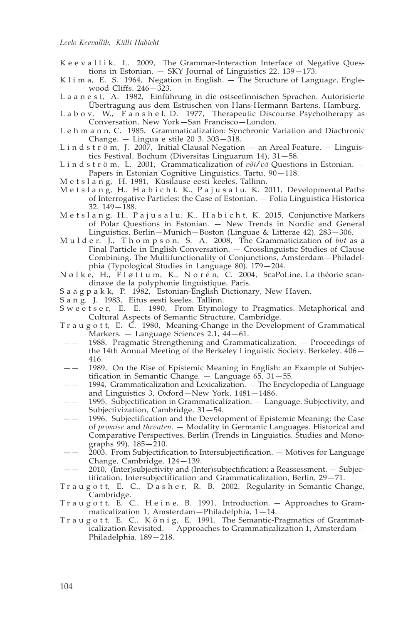- K e e v a l l i k, L. 2009, The Grammar-Interaction Interface of Negative Questions in Estonian. — SKY Journal of Linguistics 22, 139—173.
- K l i m a, E. S. 1964, Negation in English. The Structure of Languag*e*, Englewood Cliffs, 246—323.
- L a a n e s t, A. 1982, Einführung in die ostseefinnischen Sprachen. Autorisierte Übertragung aus dem Estnischen von Hans-Hermann Bartens, Hamburg.
- L a b o v, W., F a n s h e l, D. 1977, Therapeutic Discourse Psychotherapy as Conversation, New York—San Francisco—London.
- L e h m a n n, C. 1985, Grammaticalization: Synchronic Variation and Diachronic Change. — Lingua e stile 20 3, 303—318.
- L i n d s t r ö m, J. 2007, Initial Clausal Negation an Areal Feature. Linguistics Festival, Bochum (Diversitas Linguarum 14), 31—58.
- L i n d s t r ö m, L. 2001, Grammaticalization of *või/vä* Questions in Estonian. Papers in Estonian Cognitive Linguistics, Tartu, 90—118.
- M e t s l a n g, H. 1981, Küsilause eesti keeles, Tallinn.
- M e t s l a n g, H., H a b i c h t, K., P a j u s a l u, K. 2011, Developmental Paths of Interrogative Particles: the Case of Estonian. — Folia Linguistica Historica 32, 149—188.
- M e t s l a n g, H., P a j u s a l u, K., H a b i c h t, K. 2015, Conjunctive Markers of Polar Questions in Estonian. — New Trends in Nordic and General Linguistics, Berlin—Munich—Boston (Linguae & Litterae 42), 283—306.
- M u l d e r, J., T h o m p s o n, S. A. 2008, The Grammaticization of *but* as a Final Particle in English Conversation. — Crosslinguistic Studies of Clause Combining. The Multifunctionality of Conjunctions, Amsterdam—Philadelphia (Typological Studies in Language 80), 179—204.
- N ø l k e, H., F l ø t t u m, K., N o r é n, C. 2004, ScaPoLine. La théorie scandinave de la polyphonie linguistique, Paris.
- S a a g p a k k, P. 1982, Estonian-English Dictionary, New Haven.
- S a n g, J. 1983, Eitus eesti keeles, Tallinn.
- S w e e t s e r, E. E. 1990, From Etymology to Pragmatics. Metaphorical and Cultural Aspects of Semantic Structure, Cambridge.
- T r a u g o t t, E. C. 1980, Meaning-Change in the Development of Grammatical Markers. - Language Sciences 2.1, 44-61.
- —— 1988, Pragmatic Strengthening and Grammaticalization. Proceedings of the 14th Annual Meeting of the Berkeley Linguistic Society, Berkeley, 406— 416.
- —— 1989, On the Rise of Epistemic Meaning in English: an Example of Subjectification in Semantic Change. — Language 65, 31—55.
- —— 1994, Grammaticalization and Lexicalization. The Encyclopedia of Language and Linguistics 3, Oxford—New York, 1481—1486.
- —— 1995, Subjectification in Grammaticalization. Language, Subjectivity, and Subjectivization, Cambridge, 31—54.
- —— 1996, Subjectification and the Development of Epistemic Meaning: the Case of *promise* and *threaten*. — Modality in Germanic Languages. Historical and Comparative Perspectives, Berlin (Trends in Linguistics. Studies and Monographs 99), 185—210.
- $2003$ , From Subjectification to Intersubjectification.  $-$  Motives for Language Change, Cambridge, 124—139.
- —— 2010, (Inter)subjectivity and (Inter)subjectification: a Reassessment. Subjectification, Intersubjectification and Grammaticalization, Berlin, 29—71.
- Tr a u g o t t, E. C., D a s h e r, R. B. 2002, Regularity in Semantic Change, Cambridge.
- T r a u g o t t, E. C., H e i n e, B. 1991, Introduction. Approaches to Grammaticalization 1, Amsterdam—Philadelphia, 1—14.
- T r a u g o t t, E. C., K ö n i g, E. 1991, The Semantic-Pragmatics of Grammaticalization Revisited. — Approaches to Grammaticalization 1, Amsterdam— Philadelphia, 189—218.